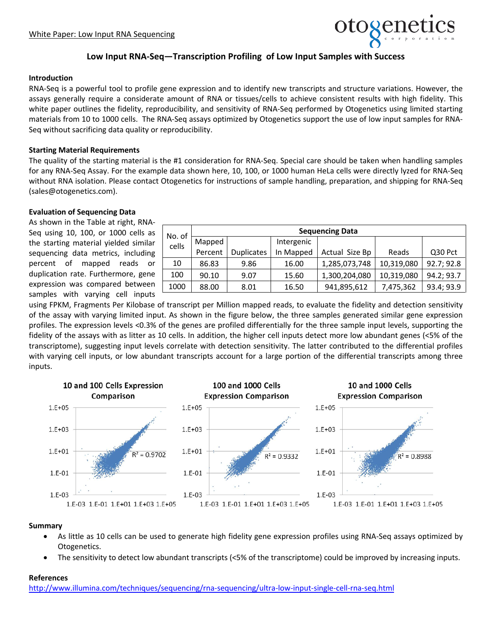

# **Low Input RNA-Seq—Transcription Profiling of Low Input Samples with Success**

#### **Introduction**

RNA-Seq is a powerful tool to profile gene expression and to identify new transcripts and structure variations. However, the assays generally require a considerate amount of RNA or tissues/cells to achieve consistent results with high fidelity. This white paper outlines the fidelity, reproducibility, and sensitivity of RNA-Seq performed by Otogenetics using limited starting materials from 10 to 1000 cells. The RNA-Seq assays optimized by Otogenetics support the use of low input samples for RNA-Seq without sacrificing data quality or reproducibility.

#### **Starting Material Requirements**

The quality of the starting material is the #1 consideration for RNA-Seq. Special care should be taken when handling samples for any RNA-Seq Assay. For the example data shown here, 10, 100, or 1000 human HeLa cells were directly lyzed for RNA-Seq without RNA isolation. Please contact Otogenetics for instructions of sample handling, preparation, and shipping for RNA-Seq (sales@otogenetics.com).

## **Evaluation of Sequencing Data**

As shown in the Table at right, RNA-Seq using 10, 100, or 1000 cells as the starting material yielded similar sequencing data metrics, including percent of mapped reads or duplication rate. Furthermore, gene expression was compared between samples with varying cell inputs

| No. of<br>cells | <b>Sequencing Data</b> |                   |            |                |            |            |
|-----------------|------------------------|-------------------|------------|----------------|------------|------------|
|                 | Mapped                 |                   | Intergenic |                |            |            |
|                 | Percent                | <b>Duplicates</b> | In Mapped  | Actual Size Bp | Reads      | Q30 Pct    |
| 10              | 86.83                  | 9.86              | 16.00      | 1,285,073,748  | 10,319,080 | 92.7; 92.8 |
| 100             | 90.10                  | 9.07              | 15.60      | 1,300,204,080  | 10,319,080 | 94.2; 93.7 |
| 1000            | 88.00                  | 8.01              | 16.50      | 941,895,612    | 7,475,362  | 93.4; 93.9 |

using FPKM, Fragments Per Kilobase of transcript per Million mapped reads, to evaluate the fidelity and detection sensitivity of the assay with varying limited input. As shown in the figure below, the three samples generated similar gene expression profiles. The expression levels <0.3% of the genes are profiled differentially for the three sample input levels, supporting the fidelity of the assays with as litter as 10 cells. In addition, the higher cell inputs detect more low abundant genes (<5% of the transcriptome), suggesting input levels correlate with detection sensitivity. The latter contributed to the differential profiles with varying cell inputs, or low abundant transcripts account for a large portion of the differential transcripts among three inputs.



### **Summary**

- As little as 10 cells can be used to generate high fidelity gene expression profiles using RNA-Seq assays optimized by Otogenetics.
- The sensitivity to detect low abundant transcripts (<5% of the transcriptome) could be improved by increasing inputs.

## **References**

<http://www.illumina.com/techniques/sequencing/rna-sequencing/ultra-low-input-single-cell-rna-seq.html>